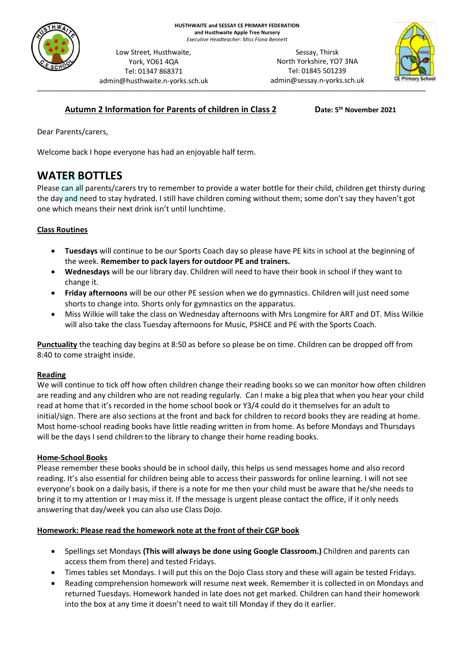

admin@husthwaite.n-yorks.sch.uk Sessay, Thirsk North Yorkshire, YO7 3NA Tel: 01845 501239 admin@sessay.n-yorks.sch.uk



# **Autumn 2 Information for Parents of children in Class 2**

**th November 2021**

Dear Parents/carers,

Welcome back I hope everyone has had an enjoyable half term.

Low Street, Husthwaite, York, YO61 4QA Tel: 01347 868371

# **WATER BOTTLES**

Please can all parents/carers try to remember to provide a water bottle for their child, children get thirsty during the day and need to stay hydrated. I still have children coming without them; some don't say they haven't got one which means their next drink isn't until lunchtime.

## **Class Routines**

- **Tuesdays** will continue to be our Sports Coach day so please have PE kits in school at the beginning of the week. **Remember to pack layers for outdoor PE and trainers.**
- **Wednesdays** will be our library day. Children will need to have their book in school if they want to change it.
- **Friday afternoons** will be our other PE session when we do gymnastics. Children will just need some shorts to change into. Shorts only for gymnastics on the apparatus.
- Miss Wilkie will take the class on Wednesday afternoons with Mrs Longmire for ART and DT. Miss Wilkie will also take the class Tuesday afternoons for Music, PSHCE and PE with the Sports Coach.

**Punctuality** the teaching day begins at 8:50 as before so please be on time. Children can be dropped off from 8:40 to come straight inside.

#### **Reading**

We will continue to tick off how often children change their reading books so we can monitor how often children are reading and any children who are not reading regularly. Can I make a big plea that when you hear your child read at home that it's recorded in the home school book or Y3/4 could do it themselves for an adult to initial/sign. There are also sections at the front and back for children to record books they are reading at home. Most home-school reading books have little reading written in from home. As before Mondays and Thursdays will be the days I send children to the library to change their home reading books.

#### **Home-School Books**

Please remember these books should be in school daily, this helps us send messages home and also record reading. It's also essential for children being able to access their passwords for online learning. I will not see everyone's book on a daily basis, if there is a note for me then your child must be aware that he/she needs to bring it to my attention or I may miss it. If the message is urgent please contact the office, if it only needs answering that day/week you can also use Class Dojo.

#### **Homework: Please read the homework note at the front of their CGP book**

- Spellings set Mondays **(This will always be done using Google Classroom.)** Children and parents can access them from there) and tested Fridays.
- Times tables set Mondays. I will put this on the Dojo Class story and these will again be tested Fridays.
- Reading comprehension homework will resume next week. Remember it is collected in on Mondays and returned Tuesdays. Homework handed in late does not get marked. Children can hand their homework into the box at any time it doesn't need to wait till Monday if they do it earlier.